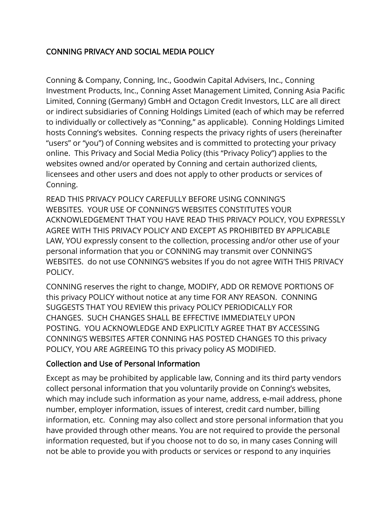# CONNING PRIVACY AND SOCIAL MEDIA POLICY

Conning & Company, Conning, Inc., Goodwin Capital Advisers, Inc., Conning Investment Products, Inc., Conning Asset Management Limited, Conning Asia Pacific Limited, Conning (Germany) GmbH and Octagon Credit Investors, LLC are all direct or indirect subsidiaries of Conning Holdings Limited (each of which may be referred to individually or collectively as "Conning," as applicable). Conning Holdings Limited hosts Conning's websites. Conning respects the privacy rights of users (hereinafter "users" or "you") of Conning websites and is committed to protecting your privacy online. This Privacy and Social Media Policy (this "Privacy Policy") applies to the websites owned and/or operated by Conning and certain authorized clients, licensees and other users and does not apply to other products or services of Conning.

READ THIS PRIVACY POLICY CAREFULLY BEFORE USING CONNING'S WEBSITES. YOUR USE OF CONNING'S WEBSITES CONSTITUTES YOUR ACKNOWLEDGEMENT THAT YOU HAVE READ THIS PRIVACY POLICY, YOU EXPRESSLY AGREE WITH THIS PRIVACY POLICY AND EXCEPT AS PROHIBITED BY APPLICABLE LAW, YOU expressly consent to the collection, processing and/or other use of your personal information that you or CONNING may transmit over CONNING'S WEBSITES. do not use CONNING'S websites If you do not agree WITH THIS PRIVACY POLICY.

CONNING reserves the right to change, MODIFY, ADD OR REMOVE PORTIONS OF this privacy POLICY without notice at any time FOR ANY REASON. CONNING SUGGESTS THAT YOU REVIEW this privacy POLICY PERIODICALLY FOR CHANGES. SUCH CHANGES SHALL BE EFFECTIVE IMMEDIATELY UPON POSTING. YOU ACKNOWLEDGE AND EXPLICITLY AGREE THAT BY ACCESSING CONNING'S WEBSITES AFTER CONNING HAS POSTED CHANGES TO this privacy POLICY, YOU ARE AGREEING TO this privacy policy AS MODIFIED.

#### Collection and Use of Personal Information

Except as may be prohibited by applicable law, Conning and its third party vendors collect personal information that you voluntarily provide on Conning's websites, which may include such information as your name, address, e-mail address, phone number, employer information, issues of interest, credit card number, billing information, etc. Conning may also collect and store personal information that you have provided through other means. You are not required to provide the personal information requested, but if you choose not to do so, in many cases Conning will not be able to provide you with products or services or respond to any inquiries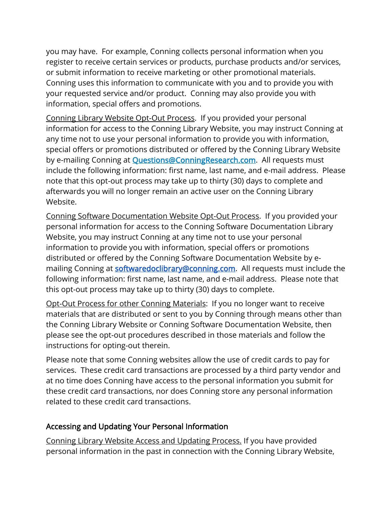you may have. For example, Conning collects personal information when you register to receive certain services or products, purchase products and/or services, or submit information to receive marketing or other promotional materials. Conning uses this information to communicate with you and to provide you with your requested service and/or product. Conning may also provide you with information, special offers and promotions.

Conning Library Website Opt-Out Process. If you provided your personal information for access to the Conning Library Website, you may instruct Conning at any time not to use your personal information to provide you with information, special offers or promotions distributed or offered by the Conning Library Website by e-mailing Conning at **Questions@ConningResearch.com**. All requests must include the following information: first name, last name, and e-mail address. Please note that this opt-out process may take up to thirty (30) days to complete and afterwards you will no longer remain an active user on the Conning Library Website.

Conning Software Documentation Website Opt-Out Process. If you provided your personal information for access to the Conning Software Documentation Library Website, you may instruct Conning at any time not to use your personal information to provide you with information, special offers or promotions distributed or offered by the Conning Software Documentation Website by emailing Conning at **softwaredoclibrary@conning.com**. All requests must include the following information: first name, last name, and e-mail address. Please note that this opt-out process may take up to thirty (30) days to complete.

Opt-Out Process for other Conning Materials: If you no longer want to receive materials that are distributed or sent to you by Conning through means other than the Conning Library Website or Conning Software Documentation Website, then please see the opt-out procedures described in those materials and follow the instructions for opting-out therein.

Please note that some Conning websites allow the use of credit cards to pay for services. These credit card transactions are processed by a third party vendor and at no time does Conning have access to the personal information you submit for these credit card transactions, nor does Conning store any personal information related to these credit card transactions.

#### Accessing and Updating Your Personal Information

Conning Library Website Access and Updating Process. If you have provided personal information in the past in connection with the Conning Library Website,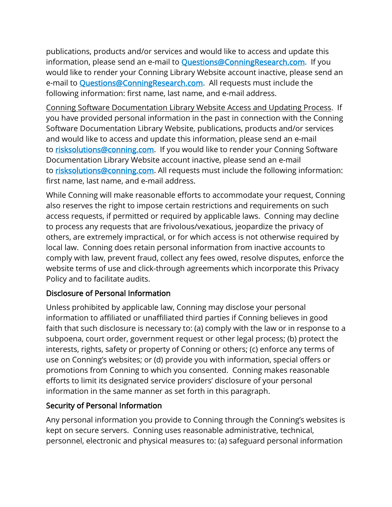publications, products and/or services and would like to access and update this information, please send an e-mail to **Questions@ConningResearch.com**. If you would like to render your Conning Library Website account inactive, please send an e-mail to **[Questions@ConningResearch.com.](mailto:Questions@ConningResearch.com)** All requests must include the following information: first name, last name, and e-mail address.

Conning Software Documentation Library Website Access and Updating Process. If you have provided personal information in the past in connection with the Conning Software Documentation Library Website, publications, products and/or services and would like to access and update this information, please send an e-mail to [risksolutions@conning.com.](mailto:risksolutions@conning.com) If you would like to render your Conning Software Documentation Library Website account inactive, please send an e-mail to [risksolutions@conning.com.](mailto:risksolutions@conning.com) All requests must include the following information: first name, last name, and e-mail address.

While Conning will make reasonable efforts to accommodate your request, Conning also reserves the right to impose certain restrictions and requirements on such access requests, if permitted or required by applicable laws. Conning may decline to process any requests that are frivolous/vexatious, jeopardize the privacy of others, are extremely impractical, or for which access is not otherwise required by local law. Conning does retain personal information from inactive accounts to comply with law, prevent fraud, collect any fees owed, resolve disputes, enforce the website terms of use and click-through agreements which incorporate this Privacy Policy and to facilitate audits.

## Disclosure of Personal Information

Unless prohibited by applicable law, Conning may disclose your personal information to affiliated or unaffiliated third parties if Conning believes in good faith that such disclosure is necessary to: (a) comply with the law or in response to a subpoena, court order, government request or other legal process; (b) protect the interests, rights, safety or property of Conning or others; (c) enforce any terms of use on Conning's websites; or (d) provide you with information, special offers or promotions from Conning to which you consented. Conning makes reasonable efforts to limit its designated service providers' disclosure of your personal information in the same manner as set forth in this paragraph.

## Security of Personal Information

Any personal information you provide to Conning through the Conning's websites is kept on secure servers. Conning uses reasonable administrative, technical, personnel, electronic and physical measures to: (a) safeguard personal information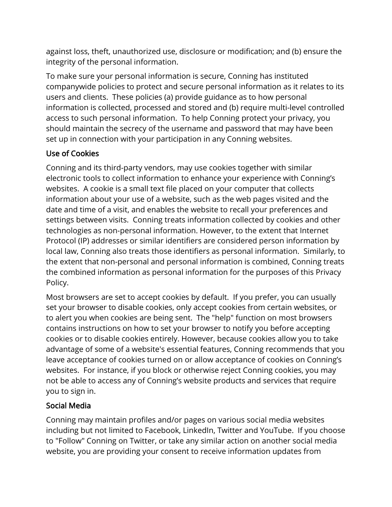against loss, theft, unauthorized use, disclosure or modification; and (b) ensure the integrity of the personal information.

To make sure your personal information is secure, Conning has instituted companywide policies to protect and secure personal information as it relates to its users and clients. These policies (a) provide guidance as to how personal information is collected, processed and stored and (b) require multi-level controlled access to such personal information. To help Conning protect your privacy, you should maintain the secrecy of the username and password that may have been set up in connection with your participation in any Conning websites.

# Use of Cookies

Conning and its third-party vendors, may use cookies together with similar electronic tools to collect information to enhance your experience with Conning's websites. A cookie is a small text file placed on your computer that collects information about your use of a website, such as the web pages visited and the date and time of a visit, and enables the website to recall your preferences and settings between visits. Conning treats information collected by cookies and other technologies as non-personal information. However, to the extent that Internet Protocol (IP) addresses or similar identifiers are considered person information by local law, Conning also treats those identifiers as personal information. Similarly, to the extent that non-personal and personal information is combined, Conning treats the combined information as personal information for the purposes of this Privacy Policy.

Most browsers are set to accept cookies by default. If you prefer, you can usually set your browser to disable cookies, only accept cookies from certain websites, or to alert you when cookies are being sent. The "help" function on most browsers contains instructions on how to set your browser to notify you before accepting cookies or to disable cookies entirely. However, because cookies allow you to take advantage of some of a website's essential features, Conning recommends that you leave acceptance of cookies turned on or allow acceptance of cookies on Conning's websites. For instance, if you block or otherwise reject Conning cookies, you may not be able to access any of Conning's website products and services that require you to sign in.

## Social Media

Conning may maintain profiles and/or pages on various social media websites including but not limited to Facebook, LinkedIn, Twitter and YouTube. If you choose to "Follow" Conning on Twitter, or take any similar action on another social media website, you are providing your consent to receive information updates from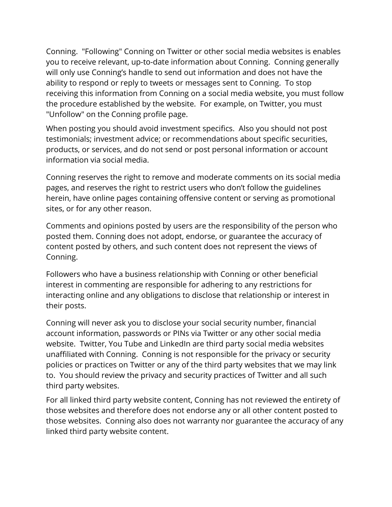Conning. "Following" Conning on Twitter or other social media websites is enables you to receive relevant, up-to-date information about Conning. Conning generally will only use Conning's handle to send out information and does not have the ability to respond or reply to tweets or messages sent to Conning. To stop receiving this information from Conning on a social media website, you must follow the procedure established by the website. For example, on Twitter, you must "Unfollow" on the Conning profile page.

When posting you should avoid investment specifics. Also you should not post testimonials; investment advice; or recommendations about specific securities, products, or services, and do not send or post personal information or account information via social media.

Conning reserves the right to remove and moderate comments on its social media pages, and reserves the right to restrict users who don't follow the guidelines herein, have online pages containing offensive content or serving as promotional sites, or for any other reason.

Comments and opinions posted by users are the responsibility of the person who posted them. Conning does not adopt, endorse, or guarantee the accuracy of content posted by others, and such content does not represent the views of Conning.

Followers who have a business relationship with Conning or other beneficial interest in commenting are responsible for adhering to any restrictions for interacting online and any obligations to disclose that relationship or interest in their posts.

Conning will never ask you to disclose your social security number, financial account information, passwords or PINs via Twitter or any other social media website. Twitter, You Tube and LinkedIn are third party social media websites unaffiliated with Conning. Conning is not responsible for the privacy or security policies or practices on Twitter or any of the third party websites that we may link to. You should review the privacy and security practices of Twitter and all such third party websites.

For all linked third party website content, Conning has not reviewed the entirety of those websites and therefore does not endorse any or all other content posted to those websites. Conning also does not warranty nor guarantee the accuracy of any linked third party website content.